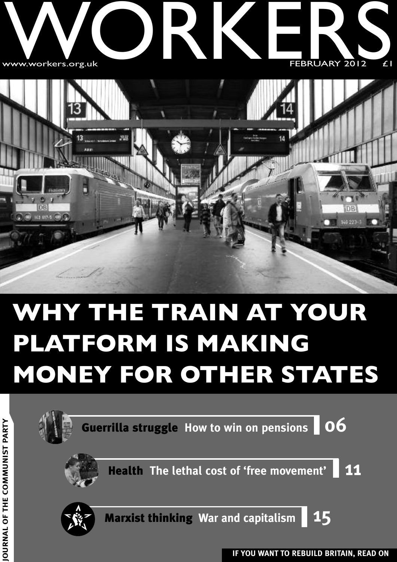



## **WHY THE TRAIN AT YOUR PLATFORM IS MAKING MONEY FOR OTHER STATES**



**M U NIS T**

**PA R T Y**

**IF YOU WANT TO REBUILD BRITAIN, READ ON JO**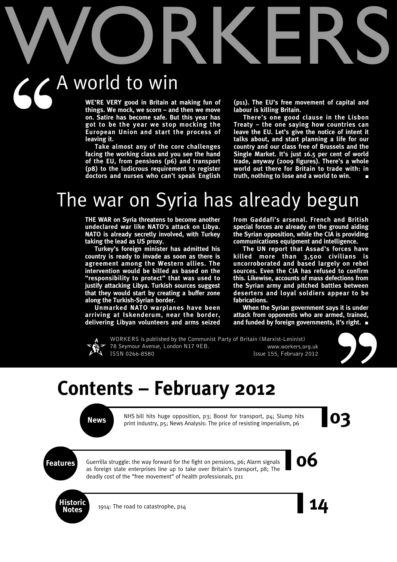# WORKERS A world to win  $66^{\circ}$

**WE'RE VERY good in Britain at making fun of things. We mock, we scorn – and then we move on. Satire has become safe. But this year has got to be the year we stop mocking the European Union and start the process of leaving it.**

**Take almost any of the core challenges facing the working class and you see the hand of the EU, from pensions (p6) and transport (p8) to the ludicrous requirement to register doctors and nurses who can't speak English**

**(p11). The EU's free movement of capital and labour is killing Britain.**

**There's one good clause in the Lisbon Treaty – the one saying how countries can leave the EU. Let's give the notice of intent it talks about, and start planning a life for our country and our class free of Brussels and the Single Market. It's just 16.5 per cent of world trade, anyway (2009 figures). There's a whole world out there for Britain to trade with: in truth, nothing to lose and a world to win. ■**

## The war on Syria has already begun

**THE WAR on Syria threatens to become another undeclared war like NATO's attack on Libya. NATO is already secretly involved, with Turkey taking the lead as US proxy.**

**Turkey's foreign minister has admitted his country is ready to invade as soon as there is agreement among the Western allies. The intervention would be billed as based on the "responsibility to protect" that was used to justify attacking Libya. Turkish sources suggest that they would start by creating a buffer zone along the Turkish-Syrian border.**

**Unmarked NATO warplanes have been arriving at Iskenderum, near the border, delivering Libyan volunteers and arms seized** **from Gaddafi's arsenal. French and British special forces are already on the ground aiding the Syrian opposition, while the CIA is providing communications equipment and intelligence.**

**The UN report that Assad's forces have killed more than 3,500 civilians is uncorroborated and based largely on rebel sources. Even the CIA has refused to confirm this. Likewise, accounts of mass defections from the Syrian army and pitched battles between deserters and loyal soldiers appear to be fabrications.**

**When the Syrian government says it is under attack from opponents who are armed, trained, and funded by foreign governments, it's right. ■**



WORKERS is published by the Communist Party of Britain (Marxist-Leninist) 78 Seymour Avenue, London N17 9EB. www.workers.org.uk ISSN 0266-8580 **ISSN** 0266-8580



## **Contents – February 2012**

News NHS bill hits huge opposition, p3; Boost for transport, p4; Slump hits print industry, p5; News Analysis: The price of resisting imperialism, p6 NHS bill hits huge opposition, p3; Boost for transport, p4; Slump hits print industry, p5; News Analysis: The price of resisting imperialism, p6

**Features Constructs Constructs 1996**<br>**Features 1996**<br>**Example 2006**<br>**Example 2006**<br>**Example 2006**<br>**Example 2006**<br>**Example 2006**<br>**Example 2006**<br>**Example 2006**<br>**Example 2006**<br>**Example 2006**<br>**Example 2006**<br>**Example 2** Guerrilla struggle: the way forward for the fight on pensions, p6; Alarm signals as foreign state enterprises line up to take over Britain's transport, p8; The deadly cost of the "free movement" of health professionals, p11



1914: The road to catastrophe, p14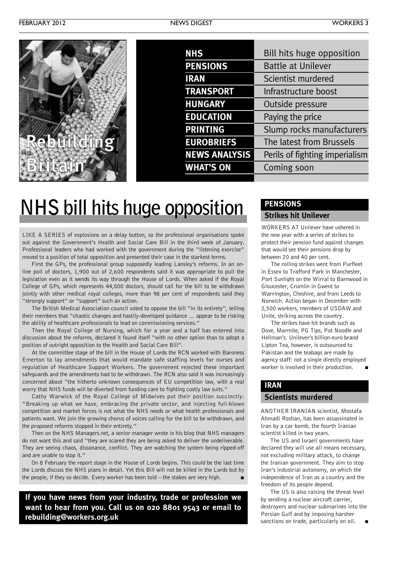| <b>NHS</b>           | Bill hits huge opposition      |
|----------------------|--------------------------------|
| <b>PENSIONS</b>      | <b>Battle at Unilever</b>      |
| <b>IRAN</b>          | Scientist murdered             |
| <b>TRANSPORT</b>     | Infrastructure boost           |
| <b>HUNGARY</b>       | Outside pressure               |
| <b>EDUCATION</b>     | Paying the price               |
| <b>PRINTING</b>      | Slump rocks manufacturers      |
| <b>EUROBRIEFS</b>    | The latest from Brussels       |
| <b>NEWS ANALYSIS</b> | Perils of fighting imperialism |
| <b>WHAT'S ON</b>     | Coming soon                    |
|                      |                                |

## **NHS bill hits huge opposition**

LIKE A SERIES of explosions on a delay button, so the professional organisations spoke out against the Government's Health and Social Care Bill in the third week of January. Professional leaders who had worked with the government during the "listening exercise" moved to a position of total opposition and presented their case in the starkest terms.

First the GPs, the professional group supposedly leading Lansley's reforms. In an online poll of doctors, 1,900 out of 2,600 respondents said it was appropriate to pull the legislation even as it wends its way through the House of Lords. When asked if the Royal College of GPs, which represents 44,000 doctors, should call for the bill to be withdrawn jointly with other medical royal colleges, more than 98 per cent of respondents said they "strongly support" or "support" such an action.

The British Medical Association council voted to oppose the bill "in its entirety", telling their members that "chaotic changes and hastily-developed guidance … appear to be risking the ability of healthcare professionals to lead on commissioning services."

Then the Royal College of Nursing, which for a year and a half has entered into discussion about the reforms, declared it found itself "with no other option than to adopt a position of outright opposition to the Health and Social Care Bill".

At the committee stage of the bill in the House of Lords the RCN worked with Baroness Emerton to lay amendments that would mandate safe staffing levels for nurses and regulation of Healthcare Support Workers. The government rejected these important safeguards and the amendments had to be withdrawn. The RCN also said it was increasingly concerned about "the hitherto unknown consequences of EU competition law, with a real worry that NHS funds will be diverted from funding care to fighting costly law suits."

Cathy Warwick of the Royal College of Midwives put their position succinctly: "Breaking up what we have, embracing the private sector, and injecting full-blown competition and market forces is not what the NHS needs or what health professionals and patients want. We join the growing chorus of voices calling for the bill to be withdrawn, and the proposed reforms stopped in their entirety."

Then on the NHS Managers.net, a senior manager wrote in his blog that NHS managers do not want this and said "they are scared they are being asked to deliver the undeliverable. They are seeing chaos, dissonance, conflict. They are watching the system being ripped-off and are unable to stop it."

On 8 February the report stage in the House of Lords begins. This could be the last time the Lords discuss the NHS plans in detail. Yet this Bill will not be killed in the Lords but by the people, if they so decide. Every worker has been told – the stakes are very high. **■**

**If you have news from your industry, trade or profession we want to hear from you. Call us on 020 8801 9543 or email to rebuilding@workers.org.uk**

#### **PENSIONS**

#### **Strikes hit Unilever**

WORKERS AT Unilever have ushered in the new year with a series of strikes to protect their pension fund against changes that would see their pensions drop by between 20 and 40 per cent.

The rolling strikes went from Purfleet in Essex to Trafford Park in Manchester, Port Sunlight on the Wirral to Barnwood in Gloucester, Crumlin in Gwent to Warrington, Cheshire, and from Leeds to Norwich. Action began in December with 2,500 workers, members of USDAW and Unite, striking across the country.

The strikes have hit brands such as Dove, Marmite, PG Tips, Pot Noodle and Hellman's. Unilever's billion-euro brand Lipton Tea, however, is outsourced to Pakistan and the teabags are made by agency staff: not a single directly employed worker is involved in their production.

#### **IRAN**

#### **Scientists murdered**

ANOTHER IRANIAN scientist, Mostafa Ahmadi Roshan, has been assassinated in Iran by a car bomb, the fourth Iranian scientist killed in two years.

The US and Israeli governments have declared they will use all means necessary, not excluding military attack, to change the Iranian government. They aim to stop Iran's industrial autonomy, on which the independence of Iran as a country and the freedom of its people depend.

The US is also raising the threat level by sending a nuclear aircraft carrier, destroyers and nuclear submarines into the Persian Gulf and by imposing harsher sanctions on trade, particularly on oil. **■**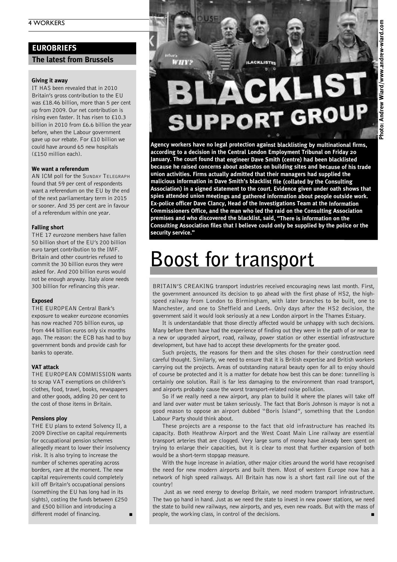#### 4 WORKERS

#### **EUROBRIEFS**

#### **The latest from Brussels**

#### **Giving it away**

IT HAS been revealed that in 2010 Britain's gross contribution to the EU was £18.46 billion, more than 5 per cent up from 2009. Our net contribution is rising even faster. It has risen to £10.3 billion in 2010 from £6.6 billion the year before, when the Labour government gave up our rebate. For £10 billion we could have around 65 new hospitals (£150 million each).

#### **We want a referendum**

AN ICM poll for the SUNDAY TELEGRAPH found that 59 per cent of respondents want a referendum on the EU by the end of the next parliamentary term in 2015 or sooner. And 35 per cent are in favour of a referendum within one year.

#### **Falling short**

THE 17 eurozone members have fallen 50 billion short of the EU's 200 billion euro target contribution to the IMF. Britain and other countries refused to commit the 30 billion euros they were asked for. And 200 billion euros would not be enough anyway. Italy alone needs 300 billion for refinancing this year.

#### **Exposed**

THE EUROPEAN Central Bank's exposure to weaker eurozone economies has now reached 705 billion euros, up from 444 billion euros only six months ago. The reason: the ECB has had to buy government bonds and provide cash for banks to operate.

#### **VAT attack**

THE EUROPEAN COMMISSION wants to scrap VAT exemptions on children's clothes, food, travel, books, newspapers and other goods, adding 20 per cent to the cost of those items in Britain.

#### **Pensions ploy**

THE EU plans to extend Solvency II, a 2009 Directive on capital requirements for occupational pension schemes allegedly meant to lower their insolvency risk. It is also trying to increase the number of schemes operating across borders, rare at the moment. The new capital requirements could completely kill off Britain's occupational pensions (something the EU has long had in its sights), costing the funds between £250 and £500 billion and introducing a different model of financing.

**ILACKLISTER** 

47416

# **JPPORT GROL**

**Agency workers have no legal protection against blacklisting by multinational firms, according to <sup>a</sup> decision in the Central London Employment Tribunal on Friday <sup>20</sup> January. The court found that engineer Dave Smith (centre) had been blacklisted because he raised concerns about asbestos on building sites and because of his trade union activities. Firms actually admitted that their managers had supplied the malicious information in Dave Smith's blacklist file (collated by the Consulting Association) in <sup>a</sup> signed statement to the court. Evidence given under oath shows that spies attended union meetings and gathered information about people outside work. Ex-police officer Dave Clancy, Head of the Investigations Team at the Information Commissioners Office, and the man who led the raid on the Consulting Association premises and who discovered the blacklist, said, "There is information on the Consulting Association files that <sup>I</sup> believe could only be supplied by the police or the security service."**

## **Boost for transport**

BRITAIN'S CREAKING transport industries received encouraging news last month. First, the government announced its decision to go ahead with the first phase of HS2, the highspeed railway from London to Birmingham, with later branches to be built, one to Manchester, and one to Sheffield and Leeds. Only days after the HS2 decision, the government said it would look seriously at a new London airport in the Thames Estuary.

It is understandable that those directly affected would be unhappy with such decisions. Many before them have had the experience of finding out they were in the path of or near to a new or upgraded airport, road, railway, power station or other essential infrastructure development, but have had to accept these developments for the greater good.

Such projects, the reasons for them and the sites chosen for their construction need careful thought. Similarly, we need to ensure that it is British expertise and British workers carrying out the projects. Areas of outstanding natural beauty open for all to enjoy should of course be protected and it is a matter for debate how best this can be done: tunnelling is certainly one solution. Rail is far less damaging to the environment than road transport, and airports probably cause the worst transport-related noise pollution.

So if we really need a new airport, any plan to build it where the planes will take off and land over water must be taken seriously. The fact that Boris Johnson is mayor is not a good reason to oppose an airport dubbed "Boris Island", something that the London Labour Party should think about.

These projects are a response to the fact that old infrastructure has reached its capacity. Both Heathrow Airport and the West Coast Main Line railway are essential transport arteries that are clogged. Very large sums of money have already been spent on trying to enlarge their capacities, but it is clear to most that further expansion of both would be a short-term stopgap measure.

With the huge increase in aviation, other major cities around the world have recognised the need for new modern airports and built them. Most of western Europe now has a network of high speed railways. All Britain has now is a short fast rail line out of the country!

Just as we need energy to develop Britain, we need modern transport infrastructure. The two go hand in hand. Just as we need the state to invest in new power stations, we need the state to build new railways, new airports, and yes, even new roads. But with the mass of people, the working class, in control of the decisions.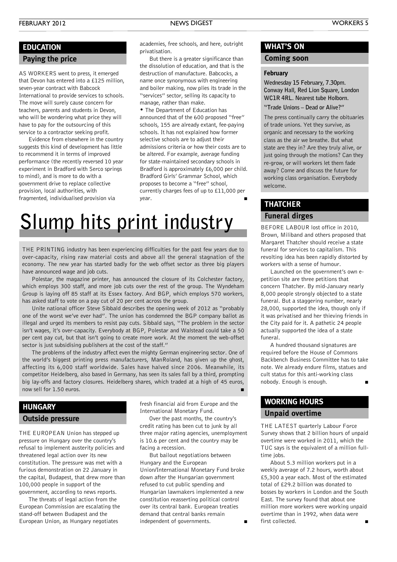#### **Paying the price EDUCATION**

AS WORKERS went to press, it emerged that Devon has entered into a £125 million, seven-year contract with Babcock International to provide services to schools. The move will surely cause concern for teachers, parents and students in Devon, who will be wondering what price they will have to pay for the outsourcing of this service to a contractor seeking profit.

Evidence from elsewhere in the country suggests this kind of development has little to recommend it in terms of improved performance (the recently reversed 10 year experiment in Bradford with Serco springs to mind), and is more to do with a government drive to replace collective provision, local authorities, with fragmented, individualised provision via

academies, free schools, and here, outright privatisation.

But there is a greater significance than the dissolution of education, and that is the destruction of manufacture. Babcocks, a name once synonymous with engineering and boiler making, now plies its trade in the "services" sector, selling its capacity to manage, rather than make.

• The Department of Education has announced that of the 600 proposed "free" schools, 155 are already extant, fee-paying schools. It has not explained how former selective schools are to adjust their admissions criteria or how their costs are to be altered. For example, average funding for state-maintained secondary schools in Bradford is approximately £6,000 per child. Bradford Girls' Grammar School, which proposes to become a "free" school, currently charges fees of up to £11,000 per year. **■**

## **Slump hits print industry**

THE PRINTING industry has been experiencing difficulties for the past few years due to over-capacity, rising raw material costs and above all the general stagnation of the economy. The new year has started badly for the web offset sector as three big players have announced wage and job cuts.

Polestar, the magazine printer, has announced the closure of its Colchester factory, which employs 300 staff, and more job cuts over the rest of the group. The Wyndeham Group is laying off 85 staff at its Essex factory. And BGP, which employs 570 workers, has asked staff to vote on a pay cut of 20 per cent across the group.

Unite national officer Steve Sibbald describes the opening week of 2012 as "probably one of the worst we've ever had". The union has condemned the BGP company ballot as illegal and urged its members to resist pay cuts. Sibbald says, "The problem in the sector isn't wages, it's over-capacity. Everybody at BGP, Polestar and Walstead could take a 50 per cent pay cut, but that isn't going to create more work. At the moment the web-offset sector is just subsidising publishers at the cost of the staff."

The problems of the industry affect even the mighty German engineering sector. One of the world's biggest printing press manufacturers, ManRoland, has given up the ghost, affecting its 6,000 staff worldwide. Sales have halved since 2006. Meanwhile, its competitor Heidelberg, also based in Germany, has seen its sales fall by a third, prompting big lay-offs and factory closures. Heidelberg shares, which traded at a high of 45 euros, now sell for 1.50 euros.

#### **HUNGARY**

#### **Outside pressure**

THE EUROPEAN Union has stepped up pressure on Hungary over the country's refusal to implement austerity policies and threatened legal action over its new constitution. The pressure was met with a furious demonstration on 22 January in the capital, Budapest, that drew more than 100,000 people in support of the government, according to news reports.

The threats of legal action from the European Commission are escalating the stand-off between Budapest and the European Union, as Hungary negotiates

fresh financial aid from Europe and the International Monetary Fund.

Over the past months, the country's credit rating has been cut to junk by all three major rating agencies, unemployment is 10.6 per cent and the country may be facing a recession.

But bailout negotiations between Hungary and the European Union/International Monetary Fund broke down after the Hungarian government refused to cut public spending and Hungarian lawmakers implemented a new constitution reasserting political control over its central bank. European treaties demand that central banks remain independent of governments.

#### **WHAT'S ON**

#### **Coming soon**

#### **February**

**Wednesday 15 February, 7.30pm. Conway Hall, Red Lion Square, London WC1R 4RL. Nearest tube Holborn.**

**"Trade Unions – Dead or Alive?"**

The press continually carry the obituaries of trade unions. Yet they survive, as organic and necessary to the working class as the air we breathe. But what state are they in? Are they truly alive, or just going through the motions? Can they re-grow, or will workers let them fade away? Come and discuss the future for working class organisation. Everybody welcome.

#### **THATCHER**

#### **Funeral dirges**

BEFORE LABOUR lost office in 2010, Brown, Miliband and others proposed that Margaret Thatcher should receive a state funeral for services to capitalism. This revolting idea has been rapidly distorted by workers with a sense of humour.

Launched on the government's own epetition site are three petitions that concern Thatcher. By mid-January nearly 8,000 people strongly objected to a state funeral. But a staggering number, nearly 28,000, supported the idea, though only if it was privatised and her thieving friends in the City paid for it. A pathetic 24 people actually supported the idea of a state funeral.

A hundred thousand signatures are required before the House of Commons Backbench Business Committee has to take note. We already endure films, statues and cult status for this anti-working class nobody. Enough is enough. **■**

#### **Unpaid overtime WORKING HOURS**

THE LATEST quarterly Labour Force Survey shows that 2 billion hours of unpaid overtime were worked in 2011, which the TUC says is the equivalent of a million fulltime jobs.

About 5.3 million workers put in a weekly average of 7.2 hours, worth about £5,300 a year each. Most of the estimated total of £29.2 billion was donated to bosses by workers in London and the South East. The survey found that about one million more workers were working unpaid overtime than in 1992, when data were first collected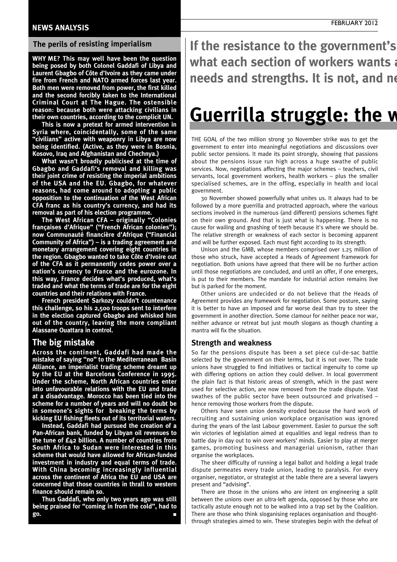#### **NEWS ANALYSIS**

#### **The perils of resisting imperialism**

**WHY ME? This may well have been the question being posed by both Colonel Gaddafi of Libya and Laurent Gbagbo of Côte d'Ivoire as they came under fire from French and NATO armed forces last year. Both men were removed from power, the first killed and the second forcibly taken to the International Criminal Court at The Hague. The ostensible reason: because both were attacking civilians in their own countries, according to the complicit UN.**

**This is now a pretext for armed intervention in Syria where, coincidentally, some of the same "civilians" active with weaponry in Libya are now being identified. (Active, as they were in Bosnia, Kosovo, Iraq and Afghanistan and Chechnya.)**

**What wasn't broadly publicised at the time of Gbagbo and Gaddafi's removal and killing was their joint crime of resisting the imperial ambitions of the USA and the EU. Gbagbo, for whatever reasons, had come around to adopting a public opposition to the continuation of the West African CFA franc as his country's currency, and had its removal as part of his election programme.**

**The West African CFA – originally "Colonies françaises d'Afrique" ("French African colonies"); now Communauté financière d'Afrique ("Financial Community of Africa") – is a trading agreement and monetary arrangement covering eight countries in the region. Gbagbo wanted to take Côte d'Ivoire out of the CFA as it permanently cedes power over a nation's currency to France and the eurozone. In this way, France decides what's produced, what's traded and what the terms of trade are for the eight countries and their relations with France.**

**French president Sarkozy couldn't countenance this challenge, so his 2,500 troops sent to interfere in the election captured Gbagbo and whisked him out of the country, leaving the more compliant Alassane Ouattara in control.**

#### **The big mistake**

**Across the continent, Gaddafi had made the mistake of saying "no" to the Mediterranean Basin Alliance, an imperialist trading scheme dreamt up by the EU at the Barcelona Conference in 1995. Under the scheme, North African countries enter into unfavourable relations with the EU and trade at a disadvantage. Morocco has been tied into the scheme for a number of years and will no doubt be in someone's sights for breaking the terms by kicking EU fishing fleets out of its territorial waters.**

**Instead, Gaddafi had pursued the creation of a Pan-African bank, funded by Libyan oil revenues to the tune of £42 billion. A number of countries from South Africa to Sudan were interested in this scheme that would have allowed for African-funded investment in industry and equal terms of trade. With China becoming increasingly influential across the continent of Africa the EU and USA are concerned that those countries in thrall to western finance should remain so.**

**Thus Gaddafi, who only two years ago was still being praised for "coming in from the cold", had to go. ■**

If the resistance to the government's **what each section of workers wants** a **needs** and strengths. It is not, and no

## **Guerrilla struggle: the <b>w**

THE GOAL of the two million strong 30 November strike was to get the government to enter into meaningful negotiations and discussions over public sector pensions. It made its point strongly, showing that passions about the pensions issue run high across a huge swathe of public services. Now, negotiations affecting the major schemes – teachers, civil servants, local government workers, health workers – plus the smaller specialised schemes, are in the offing, especially in health and local government.

30 November showed powerfully what unites us. It always had to be followed by a more guerrilla and protracted approach, where the various sections involved in the numerous (and different) pensions schemes fight on their own ground. And that is just what is happening. There is no cause for wailing and gnashing of teeth because it's where we should be. The relative strength or weakness of each sector is becoming apparent and will be further exposed. Each must fight according to its strength.

Unison and the GMB, whose members comprised over 1.25 million of those who struck, have accepted a Heads of Agreement framework for negotiation. Both unions have agreed that there will be no further action until those negotiations are concluded, and until an offer, if one emerges, is put to their members. The mandate for industrial action remains live but is parked for the moment.

Other unions are undecided or do not believe that the Heads of Agreement provides any framework for negotiation. Some posture, saying it is better to have an imposed and far worse deal than try to steer the government in another direction. Some clamour for neither peace nor war, neither advance or retreat but just mouth slogans as though chanting a mantra will fix the situation.

#### **Strength and weakness**

So far the pensions dispute has been a set piece cul-de-sac battle selected by the government on their terms, but it is not over. The trade unions have struggled to find initiatives or tactical ingenuity to come up with differing options on action they could deliver. In local government the plain fact is that historic areas of strength, which in the past were used for selective action, are now removed from the trade dispute. Vast swathes of the public sector have been outsourced and privatised – hence removing those workers from the dispute.

Others have seen union density eroded because the hard work of recruiting and sustaining union workplace organisation was ignored during the years of the last Labour government. Easier to pursue the soft win victories of legislation aimed at equalities and legal redress than to battle day in day out to win over workers' minds. Easier to play at merger games, promoting business and managerial unionism, rather than organise the workplaces.

The sheer difficulty of running a legal ballot and holding a legal trade dispute permeates every trade union, leading to paralysis. For every organiser, negotiator, or strategist at the table there are a several lawyers present and "advising".

There are those in the unions who are intent on engineering a split between the unions over an ultra-left agenda, opposed by those who are tactically astute enough not to be walked into a trap set by the Coalition. There are those who think sloganising replaces organisation and thoughtthrough strategies aimed to win. These strategies begin with the defeat of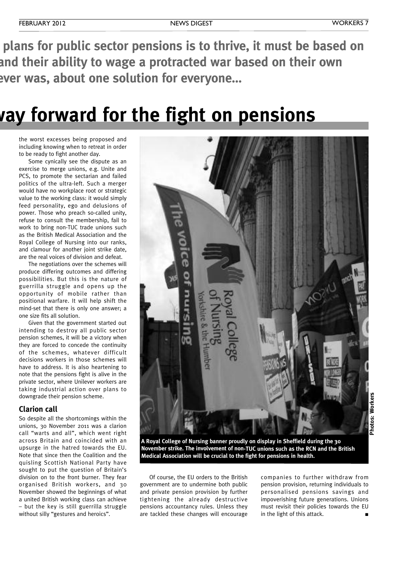plans for public sector pensions is to thrive, it must be based on **what each section of workers wants and their ability to wage a protracted war based on their own nda nota a nota netable <b>one solution** for everyone...

## **Guerrilla struggle: the way forward for the fight on pensions**

the worst excesses being proposed and including knowing when to retreat in order to be ready to fight another day.

Some cynically see the dispute as an exercise to merge unions, e.g. Unite and PCS, to promote the sectarian and failed politics of the ultra-left. Such a merger would have no workplace root or strategic value to the working class: it would simply feed personality, ego and delusions of power. Those who preach so-called unity, refuse to consult the membership, fail to work to bring non-TUC trade unions such as the British Medical Association and the Royal College of Nursing into our ranks, and clamour for another joint strike date, are the real voices of division and defeat.

The negotiations over the schemes will produce differing outcomes and differing possibilities. But this is the nature of guerrilla struggle and opens up the opportunity of mobile rather than positional warfare. It will help shift the mind-set that there is only one answer; a one size fits all solution.

Given that the government started out intending to destroy all public sector pension schemes, it will be a victory when they are forced to concede the continuity of the schemes, whatever difficult decisions workers in those schemes will have to address. It is also heartening to note that the pensions fight is alive in the private sector, where Unilever workers are taking industrial action over plans to downgrade their pension scheme.

#### **Clarion call**

So despite all the shortcomings within the unions, 30 November 2011 was a clarion call "warts and all", which went right across Britain and coincided with an upsurge in the hatred towards the EU. Note that since then the Coalition and the quisling Scottish National Party have sought to put the question of Britain's division on to the front burner. They fear organised British workers, and 30 November showed the beginnings of what a united British working class can achieve – but the key is still guerrilla struggle without silly "gestures and heroics".



**Photos: Workers** Photos: Workers

**A Royal College of Nursing banner proudly on display in Sheffield during the 30 November strike. The involvement of non-TUC unions such as the RCN and the British Medical Association will be crucial to the fight for pensions in health.**

Of course, the EU orders to the British government are to undermine both public and private pension provision by further tightening the already destructive pensions accountancy rules. Unless they are tackled these changes will encourage companies to further withdraw from pension provision, returning individuals to personalised pensions savings and impoverishing future generations. Unions must revisit their policies towards the EU in the light of this attack.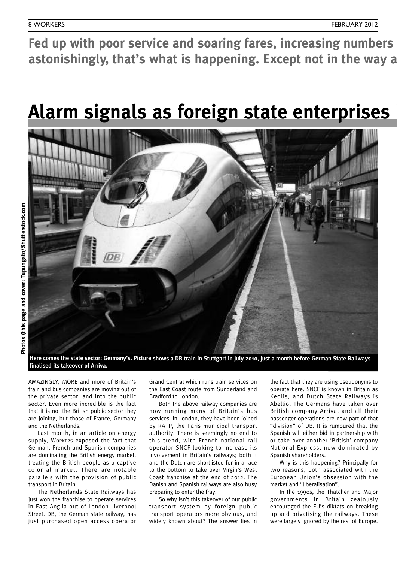Fed up with poor service and soaring fares, increasing numbers **astonishingly, that's what is happening. Except not in the way a** 

## **Alarm** signals as foreign state enterprises



Here comes the state sector: Germany's. Picture shows a DB train in Stuttgart in July 2010, just a month before German State Railways **finalised its takeover of Arriva.**

AMAZINGLY, MORE and more of Britain's train and bus companies are moving out of the private sector, and into the public sector. Even more incredible is the fact that it is not the British public sector they are joining, but those of France, Germany and the Netherlands.

Last month, in an article on energy supply, WORKERS exposed the fact that German, French and Spanish companies are dominating the British energy market, treating the British people as a captive colonial market. There are notable parallels with the provision of public transport in Britain.

The Netherlands State Railways has just won the franchise to operate services in East Anglia out of London Liverpool Street. DB, the German state railway, has just purchased open access operator

Grand Central which runs train services on the East Coast route from Sunderland and Bradford to London.

Both the above railway companies are now running many of Britain's bus services. In London, they have been joined by RATP, the Paris municipal transport authority. There is seemingly no end to this trend, with French national rail operator SNCF looking to increase its involvement in Britain's railways; both it and the Dutch are shortlisted for in a race to the bottom to take over Virgin's West Coast franchise at the end of 2012. The Danish and Spanish railways are also busy preparing to enter the fray.

So why isn't this takeover of our public transport system by foreign public transport operators more obvious, and widely known about? The answer lies in

the fact that they are using pseudonyms to operate here. SNCF is known in Britain as Keolis, and Dutch State Railways is Abellio. The Germans have taken over British company Arriva, and all their passenger operations are now part of that "division" of DB. It is rumoured that the Spanish will either bid in partnership with or take over another 'British' company National Express, now dominated by Spanish shareholders.

Why is this happening? Principally for two reasons, both associated with the European Union's obsession with the market and "liberalisation".

In the 1990s, the Thatcher and Major governments in Britain zealously encouraged the EU's diktats on breaking up and privatising the railways. These were largely ignored by the rest of Europe.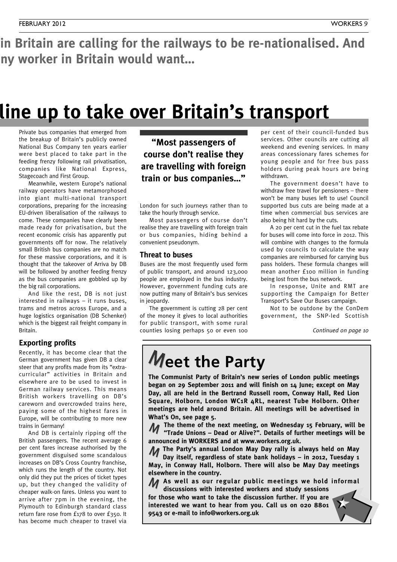in Britain are calling for the railways to be re-nationalised. And **astonishingly, that's what is happening. Except not in the way any worker in Britain would want…**

## **Alarm signals as foreign state enterprises line up to take over Britain's transport**

Private bus companies that emerged from the breakup of Britain's publicly owned National Bus Company ten years earlier were best placed to take part in the feeding frenzy following rail privatisation, companies like National Express, Stagecoach and First Group.

Meanwhile, western Europe's national railway operators have metamorphosed into giant multi-national transport corporations, preparing for the increasing EU-driven liberalisation of the railways to come. These companies have clearly been made ready for privatisation, but the recent economic crisis has apparently put governments off for now. The relatively small British bus companies are no match for these massive corporations, and it is thought that the takeover of Arriva by DB will be followed by another feeding frenzy as the bus companies are gobbled up by the big rail corporations.

And like the rest, DB is not just interested in railways – it runs buses, trams and metros across Europe, and a huge logistics organisation (DB Schenker) which is the biggest rail freight company in **Britain** 

#### **Exporting profits**

Recently, it has become clear that the German government has given DB a clear steer that any profits made from its "extracurricular" activities in Britain and elsewhere are to be used to invest in German railway services. This means British workers travelling on DB's careworn and overcrowded trains here, paying some of the highest fares in Europe, will be contributing to more new trains in Germany!

And DB is certainly ripping off the British passengers. The recent average 6 per cent fares increase authorised by the government disguised some scandalous increases on DB's Cross Country franchise, which runs the length of the country. Not only did they put the prices of ticket types up, but they changed the validity of cheaper walk-on fares. Unless you want to arrive after 7pm in the evening, the Plymouth to Edinburgh standard class return fare rose from £178 to over £350. It has become much cheaper to travel via

**"Most passengers of course don't realise they are travelling with foreign train or bus companies…"**

London for such journeys rather than to take the hourly through service.

Most passengers of course don't realise they are travelling with foreign train or bus companies, hiding behind a convenient pseudonym.

#### **Threat to buses**

Buses are the most frequently used form of public transport, and around 123,000 people are employed in the bus industry. However, government funding cuts are now putting many of Britain's bus services in jeopardy.

The government is cutting 28 per cent of the money it gives to local authorities for public transport, with some rural counties losing perhaps 50 or even 100

per cent of their council-funded bus services. Other councils are cutting all weekend and evening services. In many areas concessionary fares schemes for young people and for free bus pass holders during peak hours are being withdrawn.

The government doesn't have to withdraw free travel for pensioners – there won't be many buses left to use! Council supported bus cuts are being made at a time when commercial bus services are also being hit hard by the cuts.

A 20 per cent cut in the fuel tax rebate for buses will come into force in 2012. This will combine with changes to the formula used by councils to calculate the way companies are reimbursed for carrying bus pass holders. These formula changes will mean another £100 million in funding being lost from the bus network.

In response, Unite and RMT are supporting the Campaign for Better Transport's Save Our Buses campaign.

Not to be outdone by the ConDem government, the SNP-led Scottish

*Continued on page 10*

## **Meet the Party**

**The Communist Party of Britain's new series of London public meetings began on 29 September 2011 and will finish on 14 June; except on May Day, all are held in the Bertrand Russell room, Conway Hall, Red Lion Square, Holborn, London WC1R 4RL, nearest Tube Holborn. Other meetings are held around Britain. All meetings will be advertised in What's On, see page 5.**

**The theme of the next meeting, on Wednesday 15 February, will be 11** The theme of the next meeting, on Wednesday 15 February, will be<br>**12 Trade Unions – Dead or Alive?". Details of further meetings will be announced in WORKERS and at www.workers.org.uk.**

**The Party's annual London May Day rally is always held on May** M **Day itself, regardless of state bank holidays – in 2012, Tuesday 1 May, in Conway Hall, Holborn. There will also be May Day meetings elsewhere in the country.**

**As well as our regular public meetings we hold informal** M **discussions with interested workers and study sessions**

**for those who want to take the discussion further. If you are interested we want to hear from you. Call us on 020 8801 9543 or e-mail to info@workers.org.uk**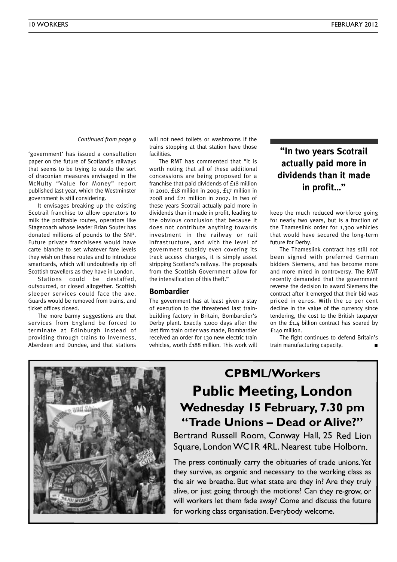*Continued from page 9*

'government' has issued a consultation paper on the future of Scotland's railways that seems to be trying to outdo the sort of draconian measures envisaged in the McNulty "Value for Money" report published last year, which the Westminster government is still considering.

It envisages breaking up the existing Scotrail franchise to allow operators to milk the profitable routes, operators like Stagecoach whose leader Brian Souter has donated millions of pounds to the SNP. Future private franchisees would have carte blanche to set whatever fare levels they wish on these routes and to introduce smartcards, which will undoubtedly rip off Scottish travellers as they have in London.

Stations could be destaffed, outsourced, or closed altogether. Scottish sleeper services could face the axe. Guards would be removed from trains, and ticket offices closed.

The more barmy suggestions are that services from England be forced to terminate at Edinburgh instead of providing through trains to Inverness, Aberdeen and Dundee, and that stations

will not need toilets or washrooms if the trains stopping at that station have those facilities.

The RMT has commented that "it is worth noting that all of these additional concessions are being proposed for a franchise that paid dividends of £18 million in 2010, £18 million in 2009, £17 million in 2008 and £21 million in 2007. In two of these years Scotrail actually paid more in dividends than it made in profit, leading to the obvious conclusion that because it does not contribute anything towards investment in the railway or rail infrastructure, and with the level of government subsidy even covering its track access charges, it is simply asset stripping Scotland's railway. The proposals from the Scottish Government allow for the intensification of this theft."

#### **Bombardier**

The government has at least given a stay of execution to the threatened last trainbuilding factory in Britain, Bombardier's Derby plant. Exactly 1,000 days after the last firm train order was made, Bombardier received an order for 130 new electric train vehicles, worth £188 million. This work will

**"In two years Scotrail actually paid more in dividends than it made in profit…"**

keep the much reduced workforce going for nearly two years, but is a fraction of the Thameslink order for 1,300 vehicles that would have secured the long-term future for Derby.

The Thameslink contract has still not been signed with preferred German bidders Siemens, and has become more and more mired in controversy. The RMT recently demanded that the government reverse the decision to award Siemens the contract after it emerged that their bid was priced in euros. With the 10 per cent decline in the value of the currency since tendering, the cost to the British taxpayer on the £1.4 billion contract has soared by £140 million.

The fight continues to defend Britain's train manufacturing capacity. **■**



### **CPBML/Workers Public Meeting, London Wednesday 15 February, 7.30 pm "Trade Unions – Dead or Alive?"**

Bertrand Russell Room, Conway Hall, 25 Red Lion Square, LondonWC1R 4RL. Nearest tube Holborn.

The press continually carry the obituaries of trade unions. Yet they survive, as organic and necessary to the working class as the air we breathe. But what state are they in? Are they truly alive, or just going through the motions? Can they re-grow, or will workers let them fade away? Come and discuss the future for working class organisation. Everybody welcome.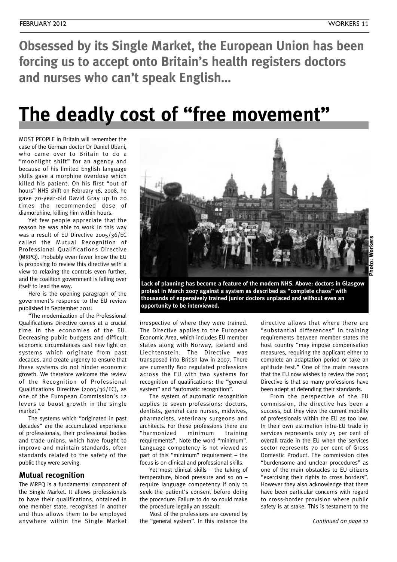**Obsessed by its Single Market, the European Union has been forcing us to accept onto Britain's health registers doctors and nurses who can't speak English…**

## **The deadly cost of "free movement"**

MOST PEOPLE in Britain will remember the case of the German doctor Dr Daniel Ubani, who came over to Britain to do a "moonlight shift" for an agency and because of his limited English language skills gave a morphine overdose which killed his patient. On his first "out of hours" NHS shift on February 16, 2008, he gave 70-year-old David Gray up to 20 times the recommended dose of diamorphine, killing him within hours.

Yet few people appreciate that the reason he was able to work in this way was a result of EU Directive 2005/36/EC called the Mutual Recognition of Professional Qualifications Directive (MRPQ). Probably even fewer know the EU is proposing to review this directive with a view to relaxing the controls even further, and the coalition government is falling over itself to lead the way.

Here is the opening paragraph of the government's response to the EU review published in September 2011:

"The modernization of the Professional Qualifications Directive comes at a crucial time in the economies of the EU. Decreasing public budgets and difficult economic circumstances cast new light on systems which originate from past decades, and create urgency to ensure that these systems do not hinder economic growth. We therefore welcome the review of the Recognition of Professional Qualifications Directive (2005/36/EC), as one of the European Commission's 12 levers to boost growth in the single market."

The systems which "originated in past decades" are the accumulated experience of professionals, their professional bodies and trade unions, which have fought to improve and maintain standards, often standards related to the safety of the public they were serving.

#### **Mutual recognition**

The MRPQ is a fundamental component of the Single Market. It allows professionals to have their qualifications, obtained in one member state, recognised in another and thus allows them to be employed anywhere within the Single Market



**Lack of planning has become a feature of the modern NHS. Above: doctors in Glasgow protest in March 2007 against a system as described as "complete chaos" with thousands of expensively trained junior doctors unplaced and without even an opportunity to be interviewed.**

irrespective of where they were trained. The Directive applies to the European Economic Area, which includes EU member states along with Norway, Iceland and Liechtenstein. The Directive was transposed into British law in 2007. There are currently 800 regulated professions across the EU with two systems for recognition of qualifications: the "general system" and "automatic recognition".

The system of automatic recognition applies to seven professions: doctors, dentists, general care nurses, midwives, pharmacists, veterinary surgeons and architects. For these professions there are "harmonized minimum training requirements". Note the word "minimum". Language competency is not viewed as part of this "minimum" requirement – the focus is on clinical and professional skills.

Yet most clinical skills – the taking of temperature, blood pressure and so on – require language competency if only to seek the patient's consent before doing the procedure. Failure to do so could make the procedure legally an assault.

Most of the professions are covered by the "general system". In this instance the directive allows that where there are "substantial differences" in training requirements between member states the host country "may impose compensation measures, requiring the applicant either to complete an adaptation period or take an aptitude test." One of the main reasons that the EU now wishes to review the 2005 Directive is that so many professions have been adept at defending their standards.

From the perspective of the EU commission, the directive has been a success, but they view the current mobility of professionals within the EU as too low. In their own estimation intra-EU trade in services represents only 25 per cent of overall trade in the EU when the services sector represents 70 per cent of Gross Domestic Product. The commission cites "burdensome and unclear procedures" as one of the main obstacles to EU citizens "exercising their rights to cross borders". However they also acknowledge that there have been particular concerns with regard to cross-border provision where public safety is at stake. This is testament to the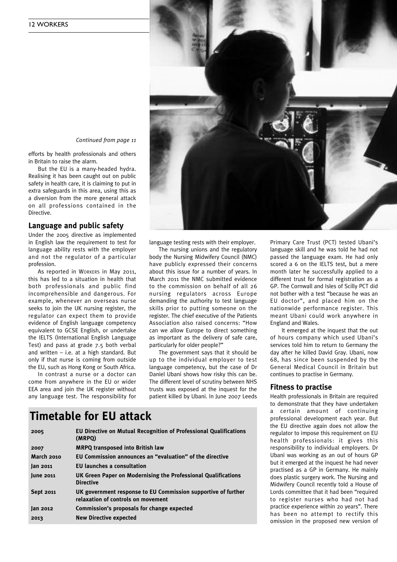

*Continued from page <sup>11</sup>*

efforts by health professionals and others in Britain to raise the alarm.

But the EU is a many-headed hydra. Realising it has been caught out on public safety in health care, it is claiming to put in extra safeguards in this area, using this as a diversion from the more general attack on all professions contained in the Directive.

#### **Language and public safety**

Under the 2005 directive as implemented in English law the requirement to test for language ability rests with the employer and not the regulator of a particular profession.

As reported in WORKERS in May 2011, this has led to a situation in health that both professionals and public find incomprehensible and dangerous. For example, whenever an overseas nurse seeks to join the UK nursing register, the regulator can expect them to provide evidence of English language competency equivalent to GCSE English, or undertake the IELTS (International English Language Test) and pass at grade 7.5 both verbal and written  $-$  i.e. at a high standard. But only if that nurse is coming from outside the EU, such as Hong Kong or South Africa.

In contrast a nurse or a doctor can come from anywhere in the EU or wider EEA area and join the UK register without any language test. The responsibility for

language testing rests with their employer.

The nursing unions and the regulatory body the Nursing Midwifery Council (NMC) have publicly expressed their concerns about this issue for a number of years. In March 2011 the NMC submitted evidence to the commission on behalf of all 26 nursing regulators across Europe demanding the authority to test language skills prior to putting someone on the register. The chief executive of the Patients Association also raised concerns: "How can we allow Europe to direct something as important as the delivery of safe care, particularly for older people?"

The government says that it should be up to the individual employer to test language competency, but the case of Dr Daniel Ubani shows how risky this can be. The different level of scrutiny between NHS trusts was exposed at the inquest for the patient killed by Ubani. In June 2007 Leeds

#### **Timetable for EU attack**

| EU Directive on Mutual Recognition of Professional Qualifications<br>(MRPO)                         |
|-----------------------------------------------------------------------------------------------------|
| <b>MRPQ transposed into British law</b>                                                             |
| EU Commission announces an "evaluation" of the directive                                            |
| <b>EU launches a consultation</b>                                                                   |
| UK Green Paper on Modernising the Professional Qualifications<br><b>Directive</b>                   |
| UK government response to EU Commission supportive of further<br>relaxation of controls on movement |
| Commission's proposals for change expected                                                          |
| <b>New Directive expected</b>                                                                       |
|                                                                                                     |

Primary Care Trust (PCT) tested Ubani's language skill and he was told he had not passed the language exam. He had only scored a 6 on the IELTS test, but a mere month later he successfully applied to a different trust for formal registration as a GP. The Cornwall and Isles of Scilly PCT did not bother with a test "because he was an EU doctor", and placed him on the nationwide performance register. This meant Ubani could work anywhere in England and Wales.

It emerged at the inquest that the out of hours company which used Ubani's services told him to return to Germany the day after he killed David Gray. Ubani, now 68, has since been suspended by the General Medical Council in Britain but continues to practise in Germany.

#### **Fitness to practise**

Health professionals in Britain are required to demonstrate that they have undertaken a certain amount of continuing professional development each year. But the EU directive again does not allow the regulator to impose this requirement on EU health professionals: it gives this responsibility to individual employers. Dr Ubani was working as an out of hours GP but it emerged at the inquest he had never practised as a GP in Germany. He mainly does plastic surgery work. The Nursing and Midwifery Council recently told a House of Lords committee that it had been "required to register nurses who had not had practice experience within 20 years". There has been no attempt to rectify this omission in the proposed new version of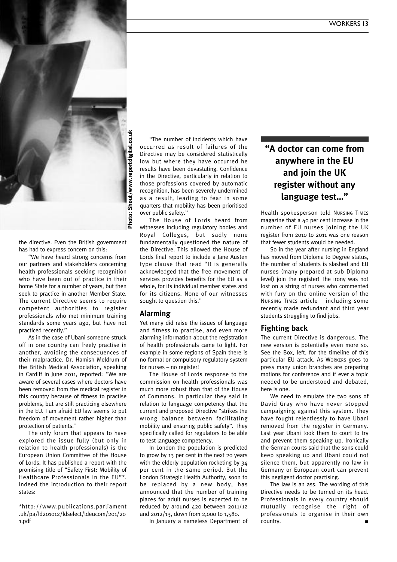

the directive. Even the British government has had to express concern on this:

"We have heard strong concerns from our partners and stakeholders concerning health professionals seeking recognition who have been out of practice in their home State for a number of years, but then seek to practice in another Member State. The current Directive seems to require competent authorities to register professionals who met minimum training standards some years ago, but have not practiced recently."

As in the case of Ubani someone struck off in one country can freely practise in another, avoiding the consequences of their malpractice. Dr. Hamish Meldrum of the British Medical Association, speaking in Cardiff in June 2011, reported: "We are aware of several cases where doctors have been removed from the medical register in this country because of fitness to practise problems, but are still practicing elsewhere in the EU. I am afraid EU law seems to put freedom of movement rather higher than protection of patients."

The only forum that appears to have explored the issue fully (but only in relation to health professionals) is the European Union Committee of the House of Lords. It has published a report with the promising title of "Safety First: Mobility of Healthcare Professionals in the EU"\*. Indeed the introduction to their report states:

"The number of incidents which have occurred as result of failures of the Directive may be considered statistically low but where they have occurred he results have been devastating. Confidence in the Directive, particularly in relation to those professions covered by automatic recognition, has been severely undermined as a result, leading to fear in some quarters that mobility has been prioritised over public safety."

The House of Lords heard from witnesses including regulatory bodies and Royal Colleges, but sadly none fundamentally questioned the nature of the Directive. This allowed the House of Lords final report to include a Jane Austen type clause that read "It is generally acknowledged that the free movement of services provides benefits for the EU as a whole, for its individual member states and for its citizens. None of our witnesses sought to question this."

#### **Alarming**

Yet many did raise the issues of language and fitness to practise, and even more alarming information about the registration of health professionals came to light. For example in some regions of Spain there is no formal or compulsory regulatory system for nurses – no register!

The House of Lords response to the commission on health professionals was much more robust than that of the House of Commons. In particular they said in relation to language competency that the current and proposed Directive "strikes the wrong balance between facilitating mobility and ensuring public safety". They specifically called for regulators to be able to test language competency.

In London the population is predicted to grow by 13 per cent in the next 20 years with the elderly population rocketing by 34 per cent in the same period. But the London Strategic Health Authority, soon to be replaced by a new body, has announced that the number of training places for adult nurses is expected to be reduced by around 420 between 2011/12 and 2012/13, down from 2,000 to 1,580.

In January a nameless Department of

#### **"A doctor can come from anywhere in the EU and join the UK register without any language test…"**

Health spokesperson told NURSING TIMES magazine that a 40 per cent increase in the number of EU nurses joining the UK register from 2010 to 2011 was one reason that fewer students would be needed.

So in the year after nursing in England has moved from Diploma to Degree status, the number of students is slashed and EU nurses (many prepared at sub Diploma level) join the register! The irony was not lost on a string of nurses who commented with fury on the online version of the NURSING TIMES article – including some recently made redundant and third year students struggling to find jobs.

#### **Fighting back**

The current Directive is dangerous. The new version is potentially even more so. See the Box, left, for the timeline of this particular EU attack. As WORKERS goes to press many union branches are preparing motions for conference and if ever a topic needed to be understood and debated, here is one.

We need to emulate the two sons of David Gray who have never stopped campaigning against this system. They have fought relentlessly to have Ubani removed from the register in Germany. Last year Ubani took them to court to try and prevent them speaking up. Ironically the German courts said that the sons could keep speaking up and Ubani could not silence them, but apparently no law in Germany or European court can prevent this negligent doctor practising.

The law is an ass. The wording of this Directive needs to be turned on its head. Professionals in every country should mutually recognise the right of professionals to organise in their own country.

<sup>\*</sup>http://www.publications.parliament .uk/pa/ld201012/ldselect/ldeucom/201/20 1.pdf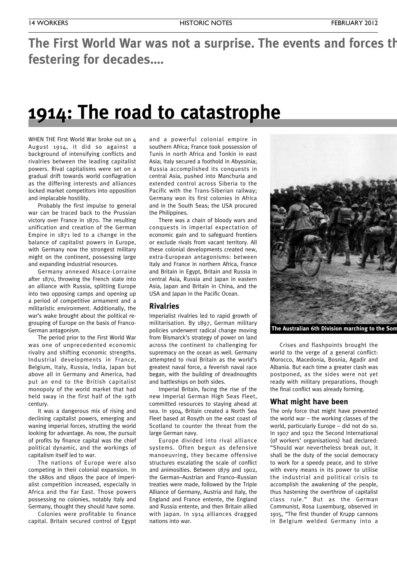## **The First World War was not a surprise. The events and forces that festering for decades.…**

## **1914: The road to catastrophe**

WHEN THE First World War broke out on 4 August 1914, it did so against a background of intensifying conflicts and rivalries between the leading capitalist powers. Rival capitalisms were set on a gradual drift towards world conflagration as the differing interests and alliances locked market competitors into opposition and implacable hostility.

Probably the first impulse to general war can be traced back to the Prussian victory over France in 1870. The resulting unification and creation of the German Empire in 1871 led to a change in the balance of capitalist powers in Europe, with Germany now the strongest military might on the continent, possessing large and expanding industrial resources.

Germany annexed Alsace-Lorraine after 1870, throwing the French state into an alliance with Russia, splitting Europe into two opposing camps and opening up a period of competitive armament and a militaristic environment. Additionally, the war's wake brought about the political regrouping of Europe on the basis of Franco-German antagonism.

The period prior to the First World War was one of unprecedented economic rivalry and shifting economic strengths. Industrial developments in France, Belgium, Italy, Russia, India, Japan but above all in Germany and America, had put an end to the British capitalist monopoly of the world market that had held sway in the first half of the 19th century.

It was a dangerous mix of rising and declining capitalist powers, emerging and waning imperial forces, strutting the world looking for advantage. As now, the pursuit of profits by finance capital was the chief political dynamic, and the workings of capitalism itself led to war.

The nations of Europe were also competing in their colonial expansion. In the 1880s and 1890s the pace of imperialist competition increased, especially in Africa and the Far East. Those powers possessing no colonies, notably Italy and Germany, thought they should have some.

Colonies were profitable to finance capital. Britain secured control of Egypt and a powerful colonial empire in southern Africa; France took possession of Tunis in north Africa and Tonkin in east Asia; Italy secured a foothold in Abyssinia; Russia accomplished its conquests in central Asia, pushed into Manchuria and extended control across Siberia to the Pacific with the Trans-Siberian railway; Germany won its first colonies in Africa and in the South Seas; the USA procured the Philippines.

There was a chain of bloody wars and conquests in imperial expectation of economic gain and to safeguard frontiers or exclude rivals from vacant territory. All these colonial developments created new, extra-European antagonisms: between Italy and France in northern Africa, France and Britain in Egypt, Britain and Russia in central Asia, Russia and Japan in eastern Asia, Japan and Britain in China, and the USA and Japan in the Pacific Ocean.

#### **Rivalries**

Imperialist rivalries led to rapid growth of militarisation. By 1897, German military policies underwent radical change moving from Bismarck's strategy of power on land across the continent to challenging for supremacy on the ocean as well. Germany attempted to rival Britain as the world's greatest naval force, a feverish naval race began, with the building of dreadnoughts and battleships on both sides.

Imperial Britain, facing the rise of the new Imperial German High Seas Fleet, committed resources to staying ahead at sea. In 1904, Britain created a North Sea Fleet based at Rosyth on the east coast of Scotland to counter the threat from the large German navy.

Europe divided into rival alliance systems. Often begun as defensive manoeuvring, they became offensive structures escalating the scale of conflict and animosities. Between 1879 and 1902, the German–Austrian and Franco–Russian treaties were made, followed by the Triple Alliance of Germany, Austria and Italy, the England and France entente, the England and Russia entente, and then Britain allied with Japan. In 1914 alliances dragged nations into war.



**The Australian 6th Division marching to the Somme.**

Crises and flashpoints brought the world to the verge of a general conflict: Morocco, Macedonia, Bosnia, Agadir and Albania. But each time a greater clash was postponed, as the sides were not yet ready with military preparations, though the final conflict was already forming.

#### **What might have been**

The only force that might have prevented the world war – the working classes of the world, particularly Europe – did not do so. In 1907 and 1912 the Second International (of workers' organisations) had declared: "Should war nevertheless break out, it shall be the duty of the social democracy to work for a speedy peace, and to strive with every means in its power to utilise the industrial and political crisis to accomplish the awakening of the people, thus hastening the overthrow of capitalist class rule." But as the German Communist, Rosa Luxemburg, observed in 1915, "The first thunder of Krupp cannons in Belgium welded Germany into a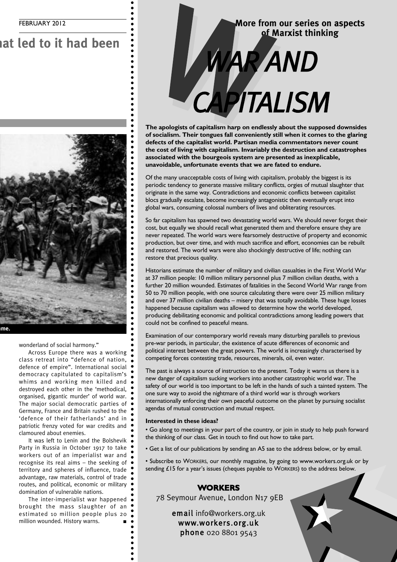## **I** had been



wonderland of social harmony."

Across Europe there was a working class retreat into "defence of nation, defence of empire". International social democracy capitulated to capitalism's whims and working men killed and destroyed each other in the 'methodical, organised, gigantic murder' of world war. The major social democratic parties of Germany, France and Britain rushed to the 'defence of their fatherlands' and in patriotic frenzy voted for war credits and clamoured about enemies.

It was left to Lenin and the Bolshevik Party in Russia in October 1917 to take workers out of an imperialist war and recognise its real aims – the seeking of territory and spheres of influence, trade advantage, raw materials, control of trade routes, and political, economic or military domination of vulnerable nations.

The inter-imperialist war happened brought the mass slaughter of an estimated 10 million people plus 20 million wounded. History warns. **■**

## **More from our series on aspects of Marxist thinking** More from our series or<br> **CAPITALISM**

**The apologists of capitalism harp on endlessly about the supposed downsides of socialism. Their tongues fall conveniently still when it comes to the glaring defects of the capitalist world. Partisan media commentators never count the cost of living with capitalism. Invariably the destruction and catastrophes associated with the bourgeois system are presented as inexplicable, unavoidable, unfortunate events that we are fated to endure.**

Of the many unacceptable costs of living with capitalism, probably the biggest is its periodic tendency to generate massive military conflicts, orgies of mutual slaughter that originate in the same way. Contradictions and economic conflicts between capitalist blocs gradually escalate, become increasingly antagonistic then eventually erupt into global wars, consuming colossal numbers of lives and obliterating resources.

So far capitalism has spawned two devastating world wars. We should never forget their cost, but equally we should recall what generated them and therefore ensure they are never repeated. The world wars were fearsomely destructive of property and economic production, but over time, and with much sacrifice and effort, economies can be rebuilt and restored. The world wars were also shockingly destructive of life; nothing can restore that precious quality.

Historians estimate the number of military and civilian casualties in the First World War at 37 million people: 10 million military personnel plus 7 million civilian deaths, with a further 20 million wounded. Estimates of fatalities in the Second World War range from 50 to 70 million people, with one source calculating there were over 25 million military and over 37 million civilian deaths – misery that was totally avoidable. These huge losses happened because capitalism was allowed to determine how the world developed, producing debilitating economic and political contradictions among leading powers that could not be confined to peaceful means.

Examination of our contemporary world reveals many disturbing parallels to previous pre-war periods, in particular, the existence of acute differences of economic and political interest between the great powers. The world is increasingly characterised by competing forces contesting trade, resources, minerals, oil, even water.

The past is always a source of instruction to the present. Today it warns us there is a new danger of capitalism sucking workers into another catastrophic world war. The safety of our world is too important to be left in the hands of such a tainted system. The one sure way to avoid the nightmare of a third world war is through workers internationally enforcing their own peaceful outcome on the planet by pursuing socialist agendas of mutual construction and mutual respect.

#### **Interested in these ideas?**

• Go along to meetings in your part of the country, or join in study to help push forward the thinking of our class. Get in touch to find out how to take part.

• Get a list of our publications by sending an A5 sae to the address below, or by email.

• Subscribe to WORKERS, our monthly magazine, by going to www.workers.org.uk or by sending £15 for a year's issues (cheques payable to WORKERS) to the address below.

#### **WORKERS**

78 Seymour Avenue, London N17 9EB

email info@workers.org.uk www.workers.org.uk phone 020 8801 9543